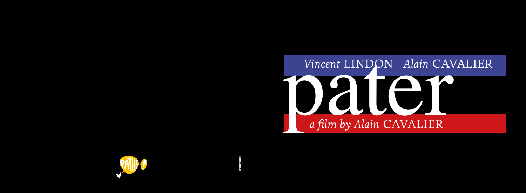

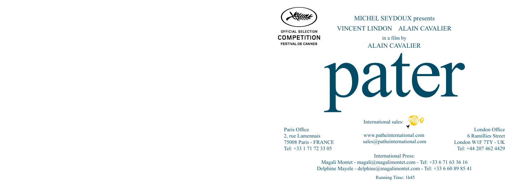

Running Time: 1h45

London Office 6 Ramillies Street London W1F 7TY - UK Tel: +44 207 462 4429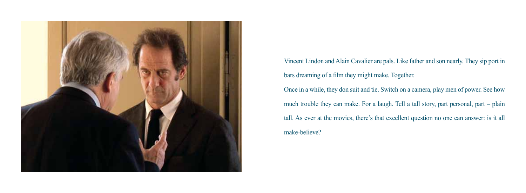

Vincent Lindon and Alain Cavalier are pals. Like father and son nearly. They sip port in bars dreaming of a film they might make. Together. Once in a while, they don suit and tie. Switch on a camera, play men of power. See how much trouble they can make. For a laugh. Tell a tall story, part personal, part – plain tall. As ever at the movies, there's that excellent question no one can answer: is it all make-believe?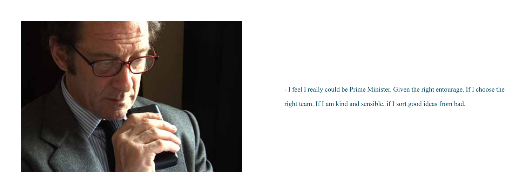

- I feel I really could be Prime Minister. Given the right entourage. If I choose the right team. If I am kind and sensible, if I sort good ideas from bad.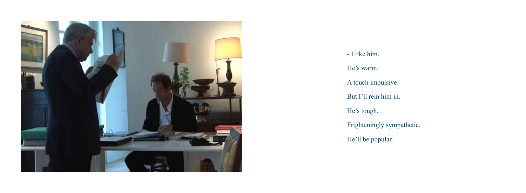

- I like him.

He's warm.

A touch impulsive.

But I'll rein him in.

He's tough.

Frighteningly sympathetic.

He'll be popular.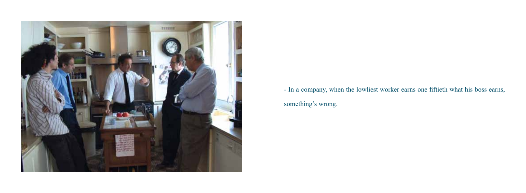

- In a company, when the lowliest worker earns one fiftieth what his boss earns, something's wrong.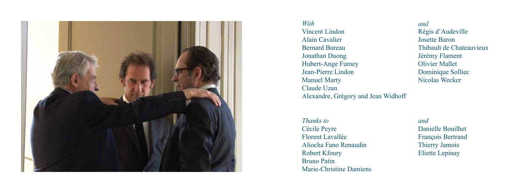

*With* Vincent Lindon Alain Cavalier Bernard Bureau Jonathan Duong Hubert-Ange Fumey Jean-Pierre Lindon Manuel Marty Claude Uzan Alexandre, Grégory and Jean Widhoff

*and* Régis d'Audeville Josette Baron Thibault de Chateauvieux Jérémy Flament Olivier Mallet Dominique Solliec Nicolas Wecker

*Thanks to* Cécile Peyre Florent Lavallée Aliocha Fano Renaudin Robert Kfoury Bruno Patin Marie-Christine Damiens *and* Danielle Bouilhet François Bertrand Thierry Jamois Eliette Lepinay